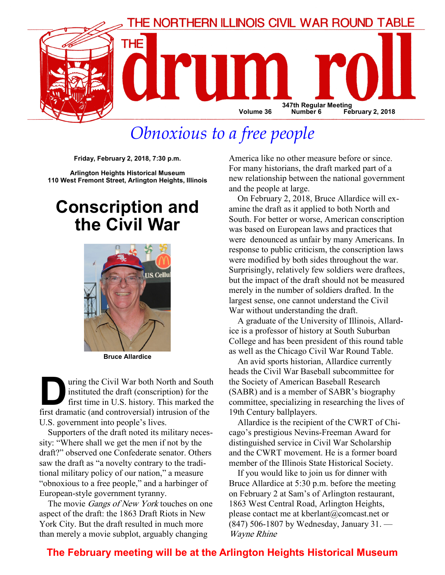

## Obnoxious to a free people

Friday, February 2, 2018, 7:30 p.m.

Arlington Heights Historical Museum 110 West Fremont Street, Arlington Heights, Illinois

## Conscription and the Civil War



Bruce Allardice

uring the Civil War both North and South<br>instituted the draft (conscription) for the<br>first dramatic (and controversial) intrusion of the instituted the draft (conscription) for the first time in U.S. history. This marked the first dramatic (and controversial) intrusion of the U.S. government into people's lives.

Supporters of the draft noted its military necessity: "Where shall we get the men if not by the draft?" observed one Confederate senator. Others saw the draft as "a novelty contrary to the traditional military policy of our nation," a measure "obnoxious to a free people," and a harbinger of European-style government tyranny.

The movie Gangs of New York touches on one aspect of the draft: the 1863 Draft Riots in New York City. But the draft resulted in much more than merely a movie subplot, arguably changing

America like no other measure before or since. For many historians, the draft marked part of a new relationship between the national government and the people at large.

On February 2, 2018, Bruce Allardice will examine the draft as it applied to both North and South. For better or worse, American conscription was based on European laws and practices that were denounced as unfair by many Americans. In response to public criticism, the conscription laws were modified by both sides throughout the war. Surprisingly, relatively few soldiers were draftees, but the impact of the draft should not be measured merely in the number of soldiers drafted. In the largest sense, one cannot understand the Civil War without understanding the draft.

A graduate of the University of Illinois, Allardice is a professor of history at South Suburban College and has been president of this round table as well as the Chicago Civil War Round Table.

An avid sports historian, Allardice currently heads the Civil War Baseball subcommittee for the Society of American Baseball Research (SABR) and is a member of SABR's biography committee, specializing in researching the lives of 19th Century ballplayers.

Allardice is the recipient of the CWRT of Chicago's prestigious Nevins-Freeman Award for distinguished service in Civil War Scholarship and the CWRT movement. He is a former board member of the Illinois State Historical Society.

If you would like to join us for dinner with Bruce Allardice at 5:30 p.m. before the meeting on February 2 at Sam's of Arlington restaurant, 1863 West Central Road, Arlington Heights, please contact me at kberlant@comcast.net or (847) 506-1807 by Wednesday, January 31. — Wayne Rhine

## The February meeting will be at the Arlington Heights Historical Museum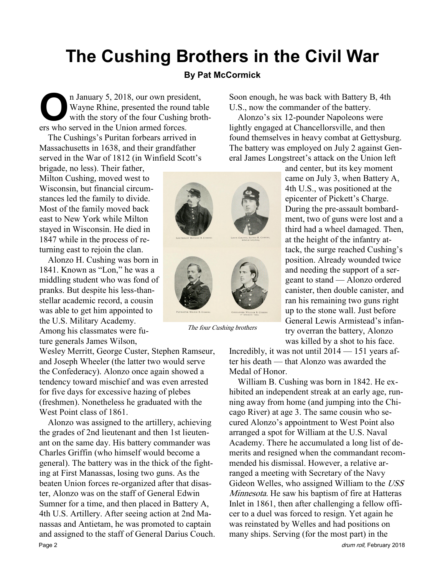# The Cushing Brothers in the Civil War

### By Pat McCormick

The January 5, 2018, our own president,<br>
Wayne Rhine, presented the round tab<br>
with the story of the four Cushing brot<br>
ers who served in the Union armed forces Wayne Rhine, presented the round table with the story of the four Cushing brothers who served in the Union armed forces.

The Cushings's Puritan forbears arrived in Massachusetts in 1638, and their grandfather served in the War of 1812 (in Winfield Scott's

brigade, no less). Their father, Milton Cushing, moved west to Wisconsin, but financial circumstances led the family to divide. Most of the family moved back east to New York while Milton stayed in Wisconsin. He died in 1847 while in the process of returning east to rejoin the clan.

Alonzo H. Cushing was born in 1841. Known as "Lon," he was a middling student who was fond of pranks. But despite his less-thanstellar academic record, a cousin was able to get him appointed to the U.S. Military Academy. Among his classmates were future generals James Wilson,

Wesley Merritt, George Custer, Stephen Ramseur, and Joseph Wheeler (the latter two would serve the Confederacy). Alonzo once again showed a tendency toward mischief and was even arrested for five days for excessive hazing of plebes (freshmen). Nonetheless he graduated with the West Point class of 1861.

Alonzo was assigned to the artillery, achieving the grades of 2nd lieutenant and then 1st lieutenant on the same day. His battery commander was Charles Griffin (who himself would become a general). The battery was in the thick of the fighting at First Manassas, losing two guns. As the beaten Union forces re-organized after that disaster, Alonzo was on the staff of General Edwin Sumner for a time, and then placed in Battery A, 4th U.S. Artillery. After seeing action at 2nd Manassas and Antietam, he was promoted to captain and assigned to the staff of General Darius Couch. Page 2 drum roll, February 2018



The four Cushing brothers

Soon enough, he was back with Battery B, 4th U.S., now the commander of the battery.

Alonzo's six 12-pounder Napoleons were lightly engaged at Chancellorsville, and then found themselves in heavy combat at Gettysburg. The battery was employed on July 2 against General James Longstreet's attack on the Union left

> and center, but its key moment came on July 3, when Battery A, 4th U.S., was positioned at the epicenter of Pickett's Charge. During the pre-assault bombardment, two of guns were lost and a third had a wheel damaged. Then, at the height of the infantry attack, the surge reached Cushing's position. Already wounded twice and needing the support of a sergeant to stand — Alonzo ordered canister, then double canister, and ran his remaining two guns right up to the stone wall. Just before General Lewis Armistead's infantry overran the battery, Alonzo was killed by a shot to his face.

Incredibly, it was not until 2014 — 151 years after his death — that Alonzo was awarded the Medal of Honor.

William B. Cushing was born in 1842. He exhibited an independent streak at an early age, running away from home (and jumping into the Chicago River) at age 3. The same cousin who secured Alonzo's appointment to West Point also arranged a spot for William at the U.S. Naval Academy. There he accumulated a long list of demerits and resigned when the commandant recommended his dismissal. However, a relative arranged a meeting with Secretary of the Navy Gideon Welles, who assigned William to the USS Minnesota. He saw his baptism of fire at Hatteras Inlet in 1861, then after challenging a fellow officer to a duel was forced to resign. Yet again he was reinstated by Welles and had positions on many ships. Serving (for the most part) in the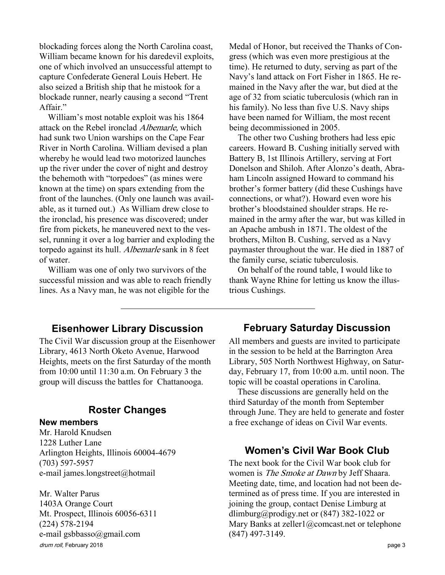blockading forces along the North Carolina coast, William became known for his daredevil exploits, one of which involved an unsuccessful attempt to capture Confederate General Louis Hebert. He also seized a British ship that he mistook for a blockade runner, nearly causing a second "Trent Affair."

William's most notable exploit was his 1864 attack on the Rebel ironclad Albemarle, which had sunk two Union warships on the Cape Fear River in North Carolina. William devised a plan whereby he would lead two motorized launches up the river under the cover of night and destroy the behemoth with "torpedoes" (as mines were known at the time) on spars extending from the front of the launches. (Only one launch was available, as it turned out.) As William drew close to the ironclad, his presence was discovered; under fire from pickets, he maneuvered next to the vessel, running it over a log barrier and exploding the torpedo against its hull. Albemarle sank in 8 feet of water.

William was one of only two survivors of the successful mission and was able to reach friendly lines. As a Navy man, he was not eligible for the

Medal of Honor, but received the Thanks of Congress (which was even more prestigious at the time). He returned to duty, serving as part of the Navy's land attack on Fort Fisher in 1865. He remained in the Navy after the war, but died at the age of 32 from sciatic tuberculosis (which ran in his family). No less than five U.S. Navy ships have been named for William, the most recent being decommissioned in 2005.

The other two Cushing brothers had less epic careers. Howard B. Cushing initially served with Battery B, 1st Illinois Artillery, serving at Fort Donelson and Shiloh. After Alonzo's death, Abraham Lincoln assigned Howard to command his brother's former battery (did these Cushings have connections, or what?). Howard even wore his brother's bloodstained shoulder straps. He remained in the army after the war, but was killed in an Apache ambush in 1871. The oldest of the brothers, Milton B. Cushing, served as a Navy paymaster throughout the war. He died in 1887 of the family curse, sciatic tuberculosis.

On behalf of the round table, I would like to thank Wayne Rhine for letting us know the illustrious Cushings.

### Eisenhower Library Discussion

The Civil War discussion group at the Eisenhower Library, 4613 North Oketo Avenue, Harwood Heights, meets on the first Saturday of the month from 10:00 until 11:30 a.m. On February 3 the group will discuss the battles for Chattanooga.

## Roster Changes

#### New members

Mr. Harold Knudsen 1228 Luther Lane Arlington Heights, Illinois 60004-4679 (703) 597-5957 e-mail james.longstreet@hotmail

drum roll, February 2018 **page 3** Mr. Walter Parus 1403A Orange Court Mt. Prospect, Illinois 60056-6311 (224) 578-2194 e-mail gsbbasso@gmail.com

### February Saturday Discussion

All members and guests are invited to participate in the session to be held at the Barrington Area Library, 505 North Northwest Highway, on Saturday, February 17, from 10:00 a.m. until noon. The topic will be coastal operations in Carolina.

These discussions are generally held on the third Saturday of the month from September through June. They are held to generate and foster a free exchange of ideas on Civil War events.

### Women's Civil War Book Club

The next book for the Civil War book club for women is *The Smoke at Dawn* by Jeff Shaara. Meeting date, time, and location had not been determined as of press time. If you are interested in joining the group, contact Denise Limburg at dlimburg@prodigy.net or  $(847)$  382-1022 or Mary Banks at zeller1@comcast.net or telephone (847) 497-3149.